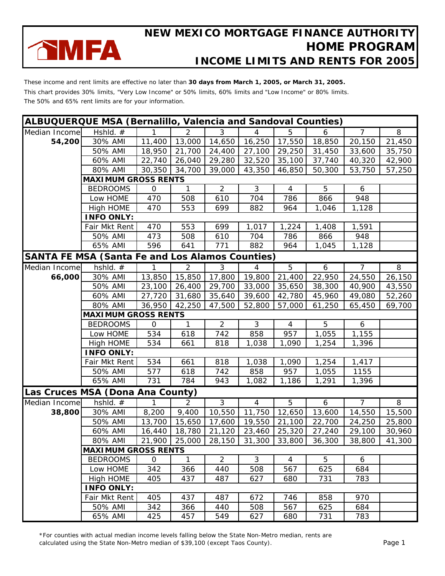

These income and rent limits are effective no later than **30 days from March 1, 2005, or March 31, 2005.** This chart provides 30% limits, "Very Low Income" or 50% limits, 60% limits and "Low Income" or 80% limits. The 50% and 65% rent limits are for your information.

| <b>ALBUQUERQUE MSA (Bernalillo, Valencia and Sandoval Counties)</b> |                                                        |              |                |                |                |                |        |                |                |
|---------------------------------------------------------------------|--------------------------------------------------------|--------------|----------------|----------------|----------------|----------------|--------|----------------|----------------|
| Median Income                                                       | Hshld. $#$                                             | $\mathbf{1}$ | 2              | 3              | $\overline{4}$ | 5              | 6      | $\overline{7}$ | $\overline{8}$ |
| 54,200                                                              | 30% AMI                                                | 11,400       | 13,000         | 14,650         | 16,250         | 17,550         | 18,850 | 20,150         | 21,450         |
|                                                                     | 50% AMI                                                | 18,950       | 21,700         | 24,400         | 27,100         | 29,250         | 31,450 | 33,600         | 35,750         |
|                                                                     | 60% AMI                                                | 22,740       | 26,040         | 29,280         | 32,520         | 35,100         | 37,740 | 40,320         | 42,900         |
|                                                                     | 80% AMI                                                | 30,350       | 34,700         | 39,000         | 43,350         | 46,850         | 50,300 | 53,750         | 57,250         |
|                                                                     | <b>MAXIMUM GROSS RENTS</b>                             |              |                |                |                |                |        |                |                |
|                                                                     | <b>BEDROOMS</b>                                        | $\mathsf{O}$ | $\mathbf{1}$   | $\overline{2}$ | 3              | $\overline{4}$ | 5      | 6              |                |
|                                                                     | Low HOME                                               | 470          | 508            | 610            | 704            | 786            | 866    | 948            |                |
|                                                                     | High HOME                                              | 470          | 553            | 699            | 882            | 964            | 1,046  | 1,128          |                |
|                                                                     | <b>INFO ONLY:</b>                                      |              |                |                |                |                |        |                |                |
|                                                                     | Fair Mkt Rent                                          | 470          | 553            | 699            | 1,017          | 1,224          | 1,408  | 1,591          |                |
|                                                                     | 50% AMI                                                | 473          | 508            | 610            | 704            | 786            | 866    | 948            |                |
|                                                                     | 65% AMI                                                | 596          | 641            | 771            | 882            | 964            | 1,045  | 1,128          |                |
|                                                                     | <b>SANTA FE MSA (Santa Fe and Los Alamos Counties)</b> |              |                |                |                |                |        |                |                |
| Median Income                                                       | hshld. $#$                                             | 1            | $\overline{2}$ | ن              | 4              | 5              | 6      | $\overline{7}$ | 8              |
| 66,000                                                              | 30% AMI                                                | 13,850       | 15,850         | 17,800         | 19,800         | 21,400         | 22,950 | 24,550         | 26,150         |
|                                                                     | 50% AMI                                                | 23,100       | 26,400         | 29,700         | 33,000         | 35,650         | 38,300 | 40,900         | 43,550         |
|                                                                     | 60% AMI                                                | 27,720       | 31,680         | 35,640         | 39,600         | 42,780         | 45,960 | 49,080         | 52,260         |
|                                                                     | 80% AMI                                                | 36,950       | 42,250         | 47,500         | 52,800         | 57,000         | 61,250 | 65,450         | 69,700         |
|                                                                     | <b>MAXIMUM GROSS RENTS</b>                             |              |                |                |                |                |        |                |                |
|                                                                     | <b>BEDROOMS</b>                                        | $\mathbf{O}$ | $\mathbf{1}$   | $\overline{2}$ | 3              | $\overline{4}$ | 5      | 6              |                |
|                                                                     | Low HOME                                               | 534          | 618            | 742            | 858            | 957            | 1,055  | 1,155          |                |
|                                                                     | High HOME                                              | 534          | 661            | 818            | 1,038          | 1,090          | 1,254  | 1,396          |                |
|                                                                     | <b>INFO ONLY:</b>                                      |              |                |                |                |                |        |                |                |
|                                                                     | Fair Mkt Rent                                          | 534          | 661            | 818            | 1,038          | 1,090          | 1,254  | 1,417          |                |
|                                                                     | 50% AMI                                                | 577          | 618            | 742            | 858            | 957            | 1,055  | 1155           |                |
|                                                                     | 65% AMI                                                | 731          | 784            | 943            | 1,082          | 1,186          | 1,291  | 1,396          |                |
|                                                                     | Las Cruces MSA (Dona Ana County)                       |              |                |                |                |                |        |                |                |
| Median Income                                                       | hshld. $#$                                             | 1            | $\overline{2}$ | $\mathbf{3}$   | $\overline{4}$ | 5              | 6      | $\overline{7}$ | 8              |
| 38,800                                                              | 30% AMI                                                | 8,200        | 9,400          | 10,550         | 11,750         | 12,650         | 13,600 | 14,550         | 15,500         |
|                                                                     | 50% AMI                                                | 13,700       | 15,650         | 17,600         | 19,550         | 21,100         | 22,700 | 24,250         | 25,800         |
|                                                                     | 60% AMI                                                | 16,440       | 18,780         | 21,120         | 23,460         | 25,320         | 27,240 | 29,100         | 30,960         |
|                                                                     | 80% AMI                                                | 21,900       | 25,000         | 28,150         | 31,300         | 33,800         | 36,300 | 38,800         | 41,300         |
|                                                                     | <b>MAXIMUM GROSS RENTS</b>                             |              |                |                |                |                |        |                |                |
|                                                                     | <b>BEDROOMS</b>                                        | $\Omega$     | $\mathbf{1}$   | $\overline{2}$ | 3              | $\overline{4}$ | 5      | 6              |                |
|                                                                     | Low HOME                                               | 342          | 366            | 440            | 508            | 567            | 625    | 684            |                |
|                                                                     | High HOME                                              | 405          | 437            | 487            | 627            | 680            | 731    | 783            |                |
|                                                                     | <b>INFO ONLY:</b>                                      |              |                |                |                |                |        |                |                |
|                                                                     | Fair Mkt Rent                                          | 405          | 437            | 487            | 672            | 746            | 858    | 970            |                |
|                                                                     | 50% AMI                                                | 342          | 366            | 440            | 508            | 567            | 625    | 684            |                |
|                                                                     | 65% AMI                                                | 425          | 457            | 549            | 627            | 680            | 731    | 783            |                |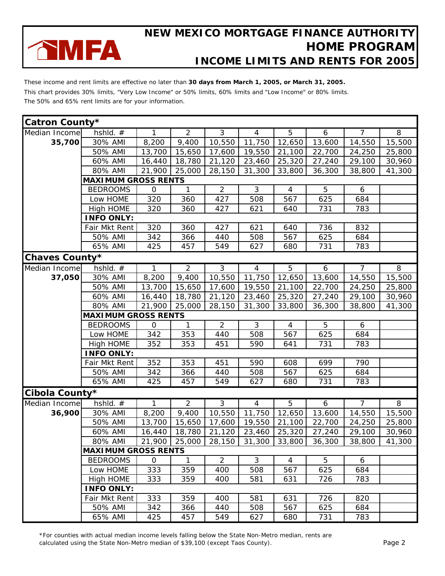

These income and rent limits are effective no later than **30 days from March 1, 2005, or March 31, 2005.** This chart provides 30% limits, "Very Low Income" or 50% limits, 60% limits and "Low Income" or 80% limits. The 50% and 65% rent limits are for your information.

| Catron County* |                            |             |                |                |                |                |        |                |                |
|----------------|----------------------------|-------------|----------------|----------------|----------------|----------------|--------|----------------|----------------|
| Median Income  | hshid. $#$                 | 1.          | $\overline{2}$ | 3              | 4              | 5              | 6      | $\overline{7}$ | 8              |
| 35,700         | 30% AMI                    | 8,200       | 9,400          | 10,550         | 11,750         | 12,650         | 13,600 | 14,550         | 15,500         |
|                | 50% AMI                    | 13,700      | 15,650         | 17,600         | 19,550         | 21,100         | 22,700 | 24,250         | 25,800         |
|                | 60% AMI                    | 16,440      | 18,780         | 21,120         | 23,460         | 25,320         | 27,240 | 29,100         | 30,960         |
|                | 80% AMI                    | 21,900      | 25,000         | 28,150         | 31,300         | 33,800         | 36,300 | 38,800         | 41,300         |
|                | <b>MAXIMUM GROSS RENTS</b> |             |                |                |                |                |        |                |                |
|                | <b>BEDROOMS</b>            | $\mathbf 0$ | 1              | $\overline{2}$ | 3              | $\overline{4}$ | 5      | 6              |                |
|                | Low HOME                   | 320         | 360            | 427            | 508            | 567            | 625    | 684            |                |
|                | High HOME                  | 320         | 360            | 427            | 621            | 640            | 731    | 783            |                |
|                | <b>INFO ONLY:</b>          |             |                |                |                |                |        |                |                |
|                | Fair Mkt Rent              | 320         | 360            | 427            | 621            | 640            | 736    | 832            |                |
|                | 50% AMI                    | 342         | 366            | 440            | 508            | 567            | 625    | 684            |                |
|                | 65% AMI                    | 425         | 457            | 549            | 627            | 680            | 731    | 783            |                |
| Chaves County* |                            |             |                |                |                |                |        |                |                |
| Median Income  | hshid. $#$                 | 1           | $\overline{2}$ | $\overline{3}$ | $\overline{4}$ | $\overline{5}$ | 6      | $\overline{7}$ | $\infty$       |
| 37,050         | 30% AMI                    | 8,200       | 9,400          | 10,550         | 11,750         | 12,650         | 13,600 | 14,550         | 15,500         |
|                | 50% AMI                    | 13,700      | 15,650         | 17,600         | 19,550         | 21,100         | 22,700 | 24,250         | 25,800         |
|                | 60% AMI                    | 16,440      | 18,780         | 21,120         | 23,460         | 25,320         | 27,240 | 29,100         | 30,960         |
|                | 80% AMI                    | 21,900      | 25,000         | 28,150         | 31,300         | 33,800         | 36,300 | 38,800         | 41,300         |
|                | <b>MAXIMUM GROSS RENTS</b> |             |                |                |                |                |        |                |                |
|                | <b>BEDROOMS</b>            | $\mathbf 0$ | 1              | $\overline{2}$ | 3              | $\overline{4}$ | 5      | 6              |                |
|                | Low HOME                   | 342         | 353            | 440            | 508            | 567            | 625    | 684            |                |
|                | High HOME                  | 352         | 353            | 451            | 590            | 641            | 731    | 783            |                |
|                | <b>INFO ONLY:</b>          |             |                |                |                |                |        |                |                |
|                | Fair Mkt Rent              | 352         | 353            | 451            | 590            | 608            | 699    | 790            |                |
|                | 50% AMI                    | 342         | 366            | 440            | 508            | 567            | 625    | 684            |                |
|                | 65% AMI                    | 425         | 457            | 549            | 627            | 680            | 731    | 783            |                |
| Cibola County* |                            |             |                |                |                |                |        |                |                |
| Median Income  | hshld. #                   | 1           | $\overline{2}$ | $\overline{3}$ | $\overline{4}$ | $\overline{5}$ | 6      | $\overline{7}$ | $\overline{8}$ |
| 36,900         | 30% AMI                    | 8,200       | 9,400          | 10,550         | 11,750         | 12,650         | 13,600 | 14,550         | 15,500         |
|                | 50% AMI                    | 13,700      | 15,650         | 17,600         | 19,550         | 21,100         | 22,700 | 24,250         | 25,800         |
|                | 60% AMI                    | 16,440      | 18,780         | 21,120         | 23,460         | 25,320         | 27,240 | 29,100         | 30,960         |
|                | 80% AMI 21,900 25,000      |             |                | 28,150         |                | 31,300 33,800  | 36,300 | 38,800         | 41,300         |
|                | <b>MAXIMUM GROSS RENTS</b> |             |                |                |                |                |        |                |                |
|                | <b>BEDROOMS</b>            | 0           | $\mathbf{1}$   | $\overline{2}$ | 3              | 4              | 5      | 6              |                |
|                | Low HOME                   | 333         | 359            | 400            | 508            | 567            | 625    | 684            |                |
|                | High HOME                  | 333         | 359            | 400            | 581            | 631            | 726    | 783            |                |
|                | <b>INFO ONLY:</b>          |             |                |                |                |                |        |                |                |
|                | Fair Mkt Rent              | 333         | 359            | 400            | 581            | 631            | 726    | 820            |                |
|                | 50% AMI                    | 342         | 366            | 440            | 508            | 567            | 625    | 684            |                |
|                | 65% AMI                    | 425         | 457            | 549            | 627            | 680            | 731    | 783            |                |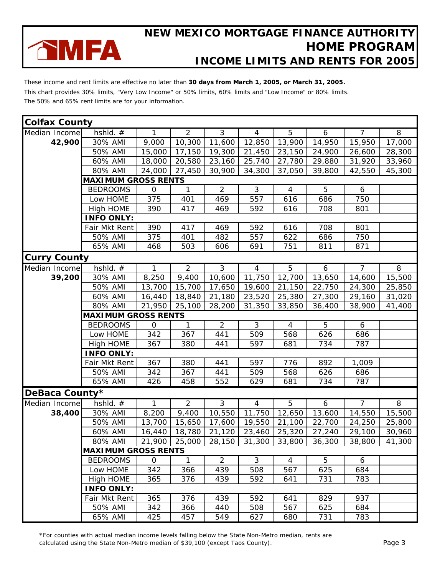

These income and rent limits are effective no later than **30 days from March 1, 2005, or March 31, 2005.** This chart provides 30% limits, "Very Low Income" or 50% limits, 60% limits and "Low Income" or 80% limits. The 50% and 65% rent limits are for your information.

| <b>Colfax County</b> |                            |                |                |                |                |                |        |                |          |
|----------------------|----------------------------|----------------|----------------|----------------|----------------|----------------|--------|----------------|----------|
| Median Income        | hshid. #                   | 1              | $\overline{2}$ | 3              | 4              | 5              | 6      | $\overline{7}$ | 8        |
| 42,900               | 30% AMI                    | 9,000          | 10,300         | 11,600         | 12,850         | 13,900         | 14,950 | 15,950         | 17,000   |
|                      | 50% AMI                    | 15,000         | 17,150         | 19,300         | 21,450         | 23,150         | 24,900 | 26,600         | 28,300   |
|                      | 60% AMI                    | 18,000         | 20,580         | 23,160         | 25,740         | 27,780         | 29,880 | 31,920         | 33,960   |
|                      | 80% AMI                    | 24,000         | 27,450         | 30,900         | 34,300         | 37,050         | 39,800 | 42,550         | 45,300   |
|                      | <b>MAXIMUM GROSS RENTS</b> |                |                |                |                |                |        |                |          |
|                      | <b>BEDROOMS</b>            | $\mathbf{O}$   | 1              | $\overline{2}$ | 3              | $\overline{4}$ | 5      | 6              |          |
|                      | Low HOME                   | 375            | 401            | 469            | 557            | 616            | 686    | 750            |          |
|                      | High HOME                  | 390            | 417            | 469            | 592            | 616            | 708    | 801            |          |
|                      | <b>INFO ONLY:</b>          |                |                |                |                |                |        |                |          |
|                      | Fair Mkt Rent              | 390            | 417            | 469            | 592            | 616            | 708    | 801            |          |
|                      | 50% AMI                    | 375            | 401            | 482            | 557            | 622            | 686    | 750            |          |
|                      | 65% AMI                    | 468            | 503            | 606            | 691            | 751            | 811    | 871            |          |
| <b>Curry County</b>  |                            |                |                |                |                |                |        |                |          |
| Median Income        | $hshld.$ #                 | $\mathbf{1}$   | $\overline{2}$ | $\overline{3}$ | $\overline{4}$ | $\overline{5}$ | 6      | $\overline{7}$ | $\infty$ |
| 39,200               | 30% AMI                    | 8,250          | 9,400          | 10,600         | 11,750         | 12,700         | 13,650 | 14,600         | 15,500   |
|                      | 50% AMI                    | 13,700         | 15,700         | 17,650         | 19,600         | 21,150         | 22,750 | 24,300         | 25,850   |
|                      | 60% AMI                    | 16,440         | 18,840         | 21,180         | 23,520         | 25,380         | 27,300 | 29,160         | 31,020   |
|                      | 80% AMI                    | 21,950         | 25,100         | 28,200         | 31,350         | 33,850         | 36,400 | 38,900         | 41,400   |
|                      | <b>MAXIMUM GROSS RENTS</b> |                |                |                |                |                |        |                |          |
|                      | <b>BEDROOMS</b>            | $\mathbf 0$    | 1              | $\overline{2}$ | 3              | 4              | 5      | 6              |          |
|                      | Low HOME                   | 342            | 367            | 441            | 509            | 568            | 626    | 686            |          |
|                      | High HOME                  | 367            | 380            | 441            | 597            | 681            | 734    | 787            |          |
|                      | <b>INFO ONLY:</b>          |                |                |                |                |                |        |                |          |
|                      | Fair Mkt Rent              | 367            | 380            | 441            | 597            | 776            | 892    | 1,009          |          |
|                      | 50% AMI                    | 342            | 367            | 441            | 509            | 568            | 626    | 686            |          |
|                      | 65% AMI                    | 426            | 458            | 552            | 629            | 681            | 734    | 787            |          |
| DeBaca County*       |                            |                |                |                |                |                |        |                |          |
| Median Income        | hshld. #                   | 1.             | $\overline{2}$ | $\overline{3}$ | $\overline{4}$ | 5              | 6      | $\overline{7}$ | 8        |
| 38,400               | 30% AMI                    | 8,200          | 9,400          | 10,550         | 11,750         | 12,650         | 13,600 | 14,550         | 15,500   |
|                      | 50% AMI                    | 13,700         | 15,650         | 17,600         | 19,550         | 21,100         | 22,700 | 24,250         | 25,800   |
|                      | 60% AMI                    | 16,440         | 18,780         | 21,120         | 23,460         | 25,320         | 27,240 | 29,100         | 30,960   |
|                      | 80% AMI                    | 21,900         | 25,000         | 28,150         | 31,300         | 33,800         | 36,300 | 38,800         | 41,300   |
|                      | <b>MAXIMUM GROSS RENTS</b> |                |                |                |                |                |        |                |          |
|                      | <b>BEDROOMS</b>            | $\overline{O}$ | $\mathbf{1}$   | $\overline{2}$ | 3              | 4              | 5      | 6              |          |
|                      | Low HOME                   | 342            | 366            | 439            | 508            | 567            | 625    | 684            |          |
|                      | High HOME                  | 365            | 376            | 439            | 592            | 641            | 731    | 783            |          |
|                      | <b>INFO ONLY:</b>          |                |                |                |                |                |        |                |          |
|                      | Fair Mkt Rent              | 365            | 376            | 439            | 592            | 641            | 829    | 937            |          |
|                      | 50% AMI                    | 342            | 366            | 440            | 508            | 567            | 625    | 684            |          |
|                      | 65% AMI                    | 425            | 457            | 549            | 627            | 680            | 731    | 783            |          |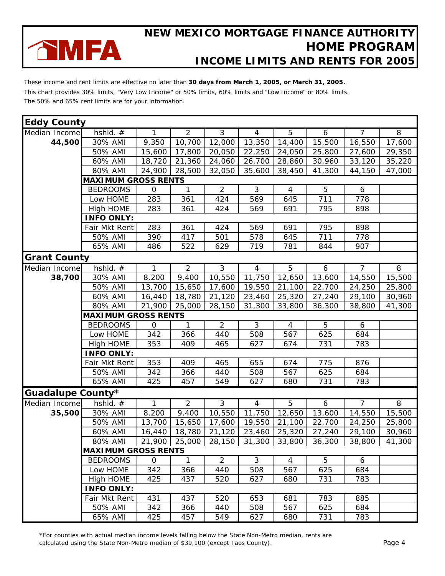

These income and rent limits are effective no later than **30 days from March 1, 2005, or March 31, 2005.** This chart provides 30% limits, "Very Low Income" or 50% limits, 60% limits and "Low Income" or 80% limits. The 50% and 65% rent limits are for your information.

| <b>Eddy County</b>  |                            |                |                |                     |                |                |        |                |          |
|---------------------|----------------------------|----------------|----------------|---------------------|----------------|----------------|--------|----------------|----------|
| Median Income       | hshld. #                   | 1.             | $\overline{2}$ | 3                   | $\overline{4}$ | 5              | 6      | $\overline{7}$ | 8        |
| 44,500              | 30% AMI                    | 9,350          | 10,700         | 12,000              | 13,350         | 14,400         | 15,500 | 16,550         | 17,600   |
|                     | 50% AMI                    | 15,600         | 17,800         | 20,050              | 22,250         | 24,050         | 25,800 | 27,600         | 29,350   |
|                     | 60% AMI                    | 18,720         | 21,360         | 24,060              | 26,700         | 28,860         | 30,960 | 33,120         | 35,220   |
|                     | 80% AMI                    | 24,900         | 28,500         | 32,050              | 35,600         | 38,450         | 41,300 | 44,150         | 47,000   |
|                     | <b>MAXIMUM GROSS RENTS</b> |                |                |                     |                |                |        |                |          |
|                     | <b>BEDROOMS</b>            | $\mathbf{O}$   | 1              | $\overline{2}$      | 3              | $\overline{4}$ | 5      | 6              |          |
|                     | Low HOME                   | 283            | 361            | 424                 | 569            | 645            | 711    | 778            |          |
|                     | High HOME                  | 283            | 361            | 424                 | 569            | 691            | 795    | 898            |          |
|                     | <b>INFO ONLY:</b>          |                |                |                     |                |                |        |                |          |
|                     | Fair Mkt Rent              | 283            | 361            | 424                 | 569            | 691            | 795    | 898            |          |
|                     | 50% AMI                    | 390            | 417            | 501                 | 578            | 645            | 711    | 778            |          |
|                     | 65% AMI                    | 486            | 522            | 629                 | 719            | 781            | 844    | 907            |          |
| <b>Grant County</b> |                            |                |                |                     |                |                |        |                |          |
| Median Income       | hshld. $#$                 | $\mathbf{1}$   | $\overline{2}$ | $\overline{\omega}$ | $\overline{4}$ | 5              | 6      | $\overline{7}$ | $\infty$ |
| 38,700              | 30% AMI                    | 8,200          | 9,400          | 10,550              | 11,750         | 12,650         | 13,600 | 14,550         | 15,500   |
|                     | 50% AMI                    | 13,700         | 15,650         | 17,600              | 19,550         | 21,100         | 22,700 | 24,250         | 25,800   |
|                     | 60% AMI                    | 16,440         | 18,780         | 21,120              | 23,460         | 25,320         | 27,240 | 29,100         | 30,960   |
|                     | 80% AMI                    | 21,900         | 25,000         | 28,150              | 31,300         | 33,800         | 36,300 | 38,800         | 41,300   |
|                     | <b>MAXIMUM GROSS RENTS</b> |                |                |                     |                |                |        |                |          |
|                     | <b>BEDROOMS</b>            | $\mathbf 0$    | 1              | $\overline{2}$      | 3              | $\overline{4}$ | 5      | 6              |          |
|                     | Low HOME                   | 342            | 366            | 440                 | 508            | 567            | 625    | 684            |          |
|                     | High HOME                  | 353            | 409            | 465                 | 627            | 674            | 731    | 783            |          |
|                     | <b>INFO ONLY:</b>          |                |                |                     |                |                |        |                |          |
|                     | Fair Mkt Rent              | 353            | 409            | 465                 | 655            | 674            | 775    | 876            |          |
|                     | 50% AMI                    | 342            | 366            | 440                 | 508            | 567            | 625    | 684            |          |
|                     | 65% AMI                    | 425            | 457            | 549                 | 627            | 680            | 731    | 783            |          |
| Guadalupe County*   |                            |                |                |                     |                |                |        |                |          |
| Median Income       | hshld. $#$                 | 1              | $\overline{2}$ | 3                   | $\overline{4}$ | 5              | 6      | $\overline{7}$ | 8        |
| 35,500              | 30% AMI                    | 8,200          | 9,400          | 10,550              | 11,750         | 12,650         | 13,600 | 14,550         | 15,500   |
|                     | 50% AMI                    | 13,700         | 15,650         | 17,600              | 19,550         | 21,100         | 22,700 | 24,250         | 25,800   |
|                     | 60% AMI                    | 16,440         | 18,780         | 21,120              | 23,460         | 25,320         | 27,240 | 29,100         | 30,960   |
|                     | 80% AMI                    |                | 21,900 25,000  | 28,150              | 31,300         | 33,800         | 36,300 | 38,800         | 41,300   |
|                     | <b>MAXIMUM GROSS RENTS</b> |                |                |                     |                |                |        |                |          |
|                     | <b>BEDROOMS</b>            | $\overline{O}$ | $\mathbf{1}$   | $\overline{2}$      | 3              | $\overline{4}$ | 5      | 6              |          |
|                     | Low HOME                   | 342            | 366            | 440                 | 508            | 567            | 625    | 684            |          |
|                     | High HOME                  | 425            | 437            | 520                 | 627            | 680            | 731    | 783            |          |
|                     | <b>INFO ONLY:</b>          |                |                |                     |                |                |        |                |          |
|                     | Fair Mkt Rent              | 431            | 437            | 520                 | 653            | 681            | 783    | 885            |          |
|                     | 50% AMI                    | 342            | 366            | 440                 | 508            | 567            | 625    | 684            |          |
|                     | 65% AMI                    | 425            | 457            | 549                 | 627            | 680            | 731    | 783            |          |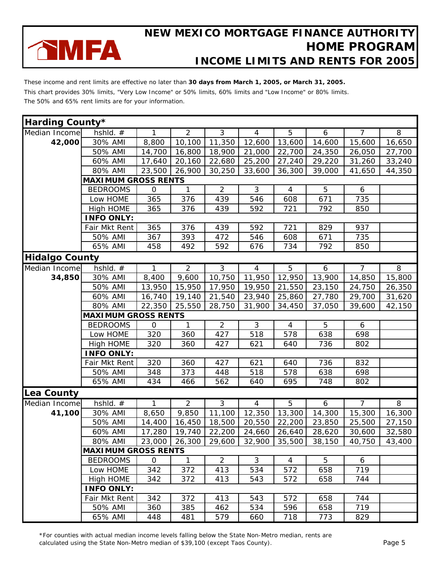

These income and rent limits are effective no later than **30 days from March 1, 2005, or March 31, 2005.** This chart provides 30% limits, "Very Low Income" or 50% limits, 60% limits and "Low Income" or 80% limits. The 50% and 65% rent limits are for your information.

| Harding County*       |                            |                |                |                |                |                |        |                |        |
|-----------------------|----------------------------|----------------|----------------|----------------|----------------|----------------|--------|----------------|--------|
| Median Income         | hshld. #                   | 1              | $\overline{2}$ | 3              | 4              | 5              | 6      | $\overline{7}$ | 8      |
| 42,000                | 30% AMI                    | 8,800          | 10,100         | 11,350         | 12,600         | 13,600         | 14,600 | 15,600         | 16,650 |
|                       | 50% AMI                    | 14,700         | 16,800         | 18,900         | 21,000         | 22,700         | 24,350 | 26,050         | 27,700 |
|                       | 60% AMI                    | 17,640         | 20,160         | 22,680         | 25,200         | 27,240         | 29,220 | 31,260         | 33,240 |
|                       | 80% AMI                    | 23,500         | 26,900         | 30,250         | 33,600         | 36,300         | 39,000 | 41,650         | 44,350 |
|                       | <b>MAXIMUM GROSS RENTS</b> |                |                |                |                |                |        |                |        |
|                       | <b>BEDROOMS</b>            | $\Omega$       | $\mathbf{1}$   | $\overline{2}$ | 3              | $\overline{4}$ | 5      | 6              |        |
|                       | Low HOME                   | 365            | 376            | 439            | 546            | 608            | 671    | 735            |        |
|                       | High HOME                  | 365            | 376            | 439            | 592            | 721            | 792    | 850            |        |
|                       | <b>INFO ONLY:</b>          |                |                |                |                |                |        |                |        |
|                       | Fair Mkt Rent              | 365            | 376            | 439            | 592            | 721            | 829    | 937            |        |
|                       | 50% AMI                    | 367            | 393            | 472            | 546            | 608            | 671    | 735            |        |
|                       | 65% AMI                    | 458            | 492            | 592            | 676            | 734            | 792    | 850            |        |
| <b>Hidalgo County</b> |                            |                |                |                |                |                |        |                |        |
| Median Income         | hshld. $#$                 | 1              | $\overline{2}$ | 3              | $\overline{4}$ | 5              | 6      | $\overline{7}$ | 8      |
| 34,850                | 30% AMI                    | 8,400          | 9,600          | 10,750         | 11,950         | 12,950         | 13,900 | 14,850         | 15,800 |
|                       | 50% AMI                    | 13,950         | 15,950         | 17,950         | 19,950         | 21,550         | 23,150 | 24,750         | 26,350 |
|                       | 60% AMI                    | 16,740         | 19,140         | 21,540         | 23,940         | 25,860         | 27,780 | 29,700         | 31,620 |
|                       | 80% AMI                    | 22,350         | 25,550         | 28,750         | 31,900         | 34,450         | 37,050 | 39,600         | 42,150 |
|                       | <b>MAXIMUM GROSS RENTS</b> |                |                |                |                |                |        |                |        |
|                       | <b>BEDROOMS</b>            | $\mathsf{O}$   | 1              | $\overline{2}$ | 3              | $\overline{4}$ | 5      | 6              |        |
|                       | Low HOME                   | 320            | 360            | 427            | 518            | 578            | 638    | 698            |        |
|                       | High HOME                  | 320            | 360            | 427            | 621            | 640            | 736    | 802            |        |
|                       | <b>INFO ONLY:</b>          |                |                |                |                |                |        |                |        |
|                       | Fair Mkt Rent              | 320            | 360            | 427            | 621            | 640            | 736    | 832            |        |
|                       | 50% AMI                    | 348            | 373            | 448            | 518            | 578            | 638    | 698            |        |
|                       | 65% AMI                    | 434            | 466            | 562            | 640            | 695            | 748    | 802            |        |
| <b>Lea County</b>     |                            |                |                |                |                |                |        |                |        |
| Median Income         | $hshld.$ #                 | 1              | $\overline{2}$ | 3              | $\overline{4}$ | 5              | 6      | $\overline{7}$ | 8      |
| 41,100                | 30% AMI                    | 8,650          | 9,850          | 11,100         | 12,350         | 13,300         | 14,300 | 15,300         | 16,300 |
|                       | 50% AMI                    | 14,400         | 16,450         | 18,500         | 20,550         | 22,200         | 23,850 | 25,500         | 27,150 |
|                       | 60% AMI                    | 17,280         | 19,740         | 22,200         | 24,660         | 26,640         | 28,620 | 30,600         | 32,580 |
|                       | 80% AMI                    | 23,000         | 26,300         | 29,600         | 32,900         | 35,500         | 38,150 | 40,750         | 43,400 |
|                       | <b>MAXIMUM GROSS RENTS</b> |                |                |                |                |                |        |                |        |
|                       | <b>BEDROOMS</b>            | $\overline{0}$ | $\mathbf{1}$   | $\overline{2}$ | 3              | $\overline{4}$ | 5      | 6              |        |
|                       | Low HOME                   | 342            | 372            | 413            | 534            | 572            | 658    | 719            |        |
|                       | High HOME                  | 342            | 372            | 413            | 543            | 572            | 658    | 744            |        |
|                       | <b>INFO ONLY:</b>          |                |                |                |                |                |        |                |        |
|                       | Fair Mkt Rent              | 342            | 372            | 413            | 543            | 572            | 658    | 744            |        |
|                       | 50% AMI                    | 360            | 385            | 462            | 534            | 596            | 658    | 719            |        |
|                       | 65% AMI                    | 448            | 481            | 579            | 660            | 718            | 773    | 829            |        |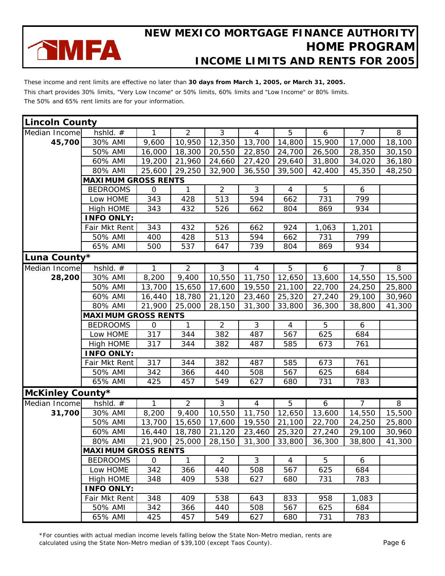

These income and rent limits are effective no later than **30 days from March 1, 2005, or March 31, 2005.** This chart provides 30% limits, "Very Low Income" or 50% limits, 60% limits and "Low Income" or 80% limits. The 50% and 65% rent limits are for your information.

| <b>Lincoln County</b>   |                            |              |                |                |                |                |        |                |        |
|-------------------------|----------------------------|--------------|----------------|----------------|----------------|----------------|--------|----------------|--------|
| Median Income           | hshld. #                   | 1            | $\overline{2}$ | 3              | 4              | 5              | 6      | $\overline{7}$ | 8      |
| 45,700                  | 30% AMI                    | 9,600        | 10,950         | 12,350         | 13,700         | 14,800         | 15,900 | 17,000         | 18,100 |
|                         | 50% AMI                    | 16,000       | 18,300         | 20,550         | 22,850         | 24,700         | 26,500 | 28,350         | 30,150 |
|                         | 60% AMI                    | 19,200       | 21,960         | 24,660         | 27,420         | 29,640         | 31,800 | 34,020         | 36,180 |
|                         | 80% AMI                    | 25,600       | 29,250         | 32,900         | 36,550         | 39,500         | 42,400 | 45,350         | 48,250 |
|                         | <b>MAXIMUM GROSS RENTS</b> |              |                |                |                |                |        |                |        |
|                         | <b>BEDROOMS</b>            | $\mathsf{O}$ | 1              | $\overline{2}$ | 3              | $\overline{4}$ | 5      | 6              |        |
|                         | Low HOME                   | 343          | 428            | 513            | 594            | 662            | 731    | 799            |        |
|                         | High HOME                  | 343          | 432            | 526            | 662            | 804            | 869    | 934            |        |
|                         | <b>INFO ONLY:</b>          |              |                |                |                |                |        |                |        |
|                         | Fair Mkt Rent              | 343          | 432            | 526            | 662            | 924            | 1,063  | 1,201          |        |
|                         | 50% AMI                    | 400          | 428            | 513            | 594            | 662            | 731    | 799            |        |
|                         | 65% AMI                    | 500          | 537            | 647            | 739            | 804            | 869    | 934            |        |
| Luna County*            |                            |              |                |                |                |                |        |                |        |
| Median Income           | hshld. $#$                 | 1            | $\overline{2}$ | $\overline{3}$ | $\overline{4}$ | $\overline{5}$ | 6      | $\overline{7}$ | 8      |
| 28,200                  | 30% AMI                    | 8,200        | 9,400          | 10,550         | 11,750         | 12,650         | 13,600 | 14,550         | 15,500 |
|                         | 50% AMI                    | 13,700       | 15,650         | 17,600         | 19,550         | 21,100         | 22,700 | 24,250         | 25,800 |
|                         | 60% AMI                    | 16,440       | 18,780         | 21,120         | 23,460         | 25,320         | 27,240 | 29,100         | 30,960 |
|                         | 80% AMI                    | 21,900       | 25,000         | 28,150         | 31,300         | 33,800         | 36,300 | 38,800         | 41,300 |
|                         | <b>MAXIMUM GROSS RENTS</b> |              |                |                |                |                |        |                |        |
|                         | <b>BEDROOMS</b>            | $\mathsf{O}$ | 1              | $\overline{2}$ | 3              | 4              | 5      | 6              |        |
|                         | Low HOME                   | 317          | 344            | 382            | 487            | 567            | 625    | 684            |        |
|                         | High HOME                  | 317          | 344            | 382            | 487            | 585            | 673    | 761            |        |
|                         | <b>INFO ONLY:</b>          |              |                |                |                |                |        |                |        |
|                         | Fair Mkt Rent              | 317          | 344            | 382            | 487            | 585            | 673    | 761            |        |
|                         | 50% AMI                    | 342          | 366            | 440            | 508            | 567            | 625    | 684            |        |
|                         | 65% AMI                    | 425          | 457            | 549            | 627            | 680            | 731    | 783            |        |
| <b>McKinley County*</b> |                            |              |                |                |                |                |        |                |        |
| Median Income           | hshld. $#$                 | 1            | 2              | 3              | 4              | 5              | 6      | $\overline{7}$ | 8      |
| 31,700                  | 30% AMI                    | 8,200        | 9,400          | 10,550         | 11,750         | 12,650         | 13,600 | 14,550         | 15,500 |
|                         | 50% AMI                    | 13,700       | 15,650         | 17,600         | 19,550         | 21,100         | 22,700 | 24,250         | 25,800 |
|                         | 60% AMI                    | 16,440       | 18,780         | 21,120         | 23,460         | 25,320         | 27,240 | 29,100         | 30,960 |
|                         | 80% AMI                    | 21,900       | 25,000         | 28,150         | 31,300         | 33,800         | 36,300 | 38,800         | 41,300 |
|                         | <b>MAXIMUM GROSS RENTS</b> |              |                |                |                |                |        |                |        |
|                         | <b>BEDROOMS</b>            | $\Omega$     | $\mathbf{1}$   | $\overline{2}$ | 3              | $\overline{4}$ | 5      | 6              |        |
|                         | Low HOME                   | 342          | 366            | 440            | 508            | 567            | 625    | 684            |        |
|                         | High HOME                  | 348          | 409            | 538            | 627            | 680            | 731    | 783            |        |
|                         | <b>INFO ONLY:</b>          |              |                |                |                |                |        |                |        |
|                         | Fair Mkt Rent              | 348          | 409            | 538            | 643            | 833            | 958    | 1,083          |        |
|                         | 50% AMI                    | 342          | 366            | 440            | 508            | 567            | 625    | 684            |        |
|                         | 65% AMI                    | 425          | 457            | 549            | 627            | 680            | 731    | 783            |        |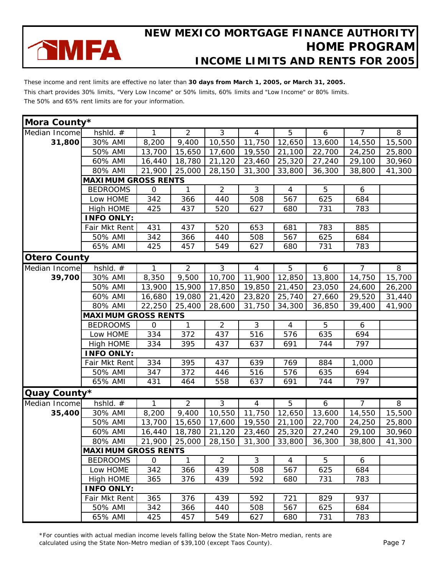

These income and rent limits are effective no later than **30 days from March 1, 2005, or March 31, 2005.** This chart provides 30% limits, "Very Low Income" or 50% limits, 60% limits and "Low Income" or 80% limits. The 50% and 65% rent limits are for your information.

| Mora County*        |                            |              |                |                |                |                |        |                |                |
|---------------------|----------------------------|--------------|----------------|----------------|----------------|----------------|--------|----------------|----------------|
| Median Income       | hshld. #                   | 1            | $\overline{2}$ | 3              | $\overline{4}$ | 5              | 6      | $\overline{7}$ | 8              |
| 31,800              | 30% AMI                    | 8,200        | 9,400          | 10,550         | 11,750         | 12,650         | 13,600 | 14,550         | 15,500         |
|                     | 50% AMI                    | 13,700       | 15,650         | 17,600         | 19,550         | 21,100         | 22,700 | 24,250         | 25,800         |
|                     | 60% AMI                    | 16,440       | 18,780         | 21,120         | 23,460         | 25,320         | 27,240 | 29,100         | 30,960         |
|                     | 80% AMI                    | 21,900       | 25,000         | 28,150         | 31,300         | 33,800         | 36,300 | 38,800         | 41,300         |
|                     | <b>MAXIMUM GROSS RENTS</b> |              |                |                |                |                |        |                |                |
|                     | <b>BEDROOMS</b>            | $\mathbf{O}$ | 1              | $\overline{2}$ | 3              | $\overline{4}$ | 5      | 6              |                |
|                     | Low HOME                   | 342          | 366            | 440            | 508            | 567            | 625    | 684            |                |
|                     | High HOME                  | 425          | 437            | 520            | 627            | 680            | 731    | 783            |                |
|                     | <b>INFO ONLY:</b>          |              |                |                |                |                |        |                |                |
|                     | Fair Mkt Rent              | 431          | 437            | 520            | 653            | 681            | 783    | 885            |                |
|                     | 50% AMI                    | 342          | 366            | 440            | 508            | 567            | 625    | 684            |                |
|                     | 65% AMI                    | 425          | 457            | 549            | 627            | 680            | 731    | 783            |                |
| <b>Otero County</b> |                            |              |                |                |                |                |        |                |                |
| Median Income       | hshld. $#$                 | 1            | $\overline{2}$ | ن              | $\overline{4}$ | $\overline{5}$ | 6      | $\overline{7}$ | $\overline{8}$ |
| 39,700              | 30% AMI                    | 8,350        | 9,500          | 10,700         | 11,900         | 12,850         | 13,800 | 14,750         | 15,700         |
|                     | 50% AMI                    | 13,900       | 15,900         | 17,850         | 19,850         | 21,450         | 23,050 | 24,600         | 26,200         |
|                     | 60% AMI                    | 16,680       | 19,080         | 21,420         | 23,820         | 25,740         | 27,660 | 29,520         | 31,440         |
|                     | 80% AMI                    | 22,250       | 25,400         | 28,600         | 31,750         | 34,300         | 36,850 | 39,400         | 41,900         |
|                     | <b>MAXIMUM GROSS RENTS</b> |              |                |                |                |                |        |                |                |
|                     | <b>BEDROOMS</b>            | $\mathsf O$  | $\mathbf{1}$   | $\overline{2}$ | 3              | $\overline{4}$ | 5      | 6              |                |
|                     | Low HOME                   | 334          | 372            | 437            | 516            | 576            | 635    | 694            |                |
|                     | High HOME                  | 334          | 395            | 437            | 637            | 691            | 744    | 797            |                |
|                     | <b>INFO ONLY:</b>          |              |                |                |                |                |        |                |                |
|                     | Fair Mkt Rent              | 334          | 395            | 437            | 639            | 769            | 884    | 1,000          |                |
|                     | 50% AMI                    | 347          | 372            | 446            | 516            | 576            | 635    | 694            |                |
|                     | 65% AMI                    | 431          | 464            | 558            | 637            | 691            | 744    | 797            |                |
| Quay County*        |                            |              |                |                |                |                |        |                |                |
| Median Income       | hshld. #                   | $\mathbf{1}$ | $\overline{2}$ | $\overline{3}$ | $\overline{4}$ | $\overline{5}$ | 6      | $\overline{7}$ | $\overline{8}$ |
| 35,400              | 30% AMI                    | 8,200        | 9,400          | 10,550         | 11,750         | 12,650         | 13,600 | 14,550         | 15,500         |
|                     | 50% AMI                    | 13,700       | 15,650         | 17,600         | 19,550         | 21,100         | 22,700 | 24,250         | 25,800         |
|                     | 60% AMI                    | 16,440       | 18,780         | 21,120         | 23,460         | 25,320         | 27,240 | 29,100         | 30,960         |
|                     | 80% AMI                    |              | 21,900 25,000  | 28,150         | 31,300         | 33,800         | 36,300 | 38,800         | 41,300         |
|                     | <b>MAXIMUM GROSS RENTS</b> |              |                |                |                |                |        |                |                |
|                     | <b>BEDROOMS</b>            | $\mathbf{O}$ | $\mathbf{1}$   | $\overline{2}$ | 3              | $\overline{4}$ | 5      | 6              |                |
|                     | Low HOME                   | 342          | 366            | 439            | 508            | 567            | 625    | 684            |                |
|                     | High HOME                  | 365          | 376            | 439            | 592            | 680            | 731    | 783            |                |
|                     | <b>INFO ONLY:</b>          |              |                |                |                |                |        |                |                |
|                     | Fair Mkt Rent              | 365          | 376            | 439            | 592            | 721            | 829    | 937            |                |
|                     | 50% AMI                    | 342          | 366            | 440            | 508            | 567            | 625    | 684            |                |
|                     | 65% AMI                    | 425          | 457            | 549            | 627            | 680            | 731    | 783            |                |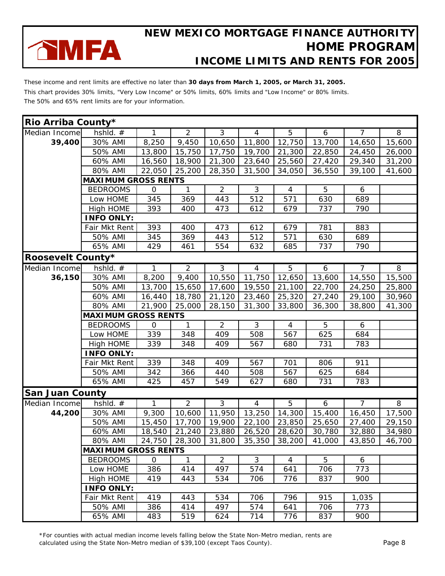

These income and rent limits are effective no later than **30 days from March 1, 2005, or March 31, 2005.** This chart provides 30% limits, "Very Low Income" or 50% limits, 60% limits and "Low Income" or 80% limits. The 50% and 65% rent limits are for your information.

| Rio Arriba County*       |                            |                |                |                |                |                |        |                |        |
|--------------------------|----------------------------|----------------|----------------|----------------|----------------|----------------|--------|----------------|--------|
| Median Income            | hshld. #                   | 1              | $\overline{2}$ | 3              | 4              | 5              | 6      | $\overline{7}$ | 8      |
| 39,400                   | 30% AMI                    | 8,250          | 9,450          | 10,650         | 11,800         | 12,750         | 13,700 | 14,650         | 15,600 |
|                          | 50% AMI                    | 13,800         | 15,750         | 17,750         | 19,700         | 21,300         | 22,850 | 24,450         | 26,000 |
|                          | 60% AMI                    | 16,560         | 18,900         | 21,300         | 23,640         | 25,560         | 27,420 | 29,340         | 31,200 |
|                          | 80% AMI                    | 22,050         | 25,200         | 28,350         | 31,500         | 34,050         | 36,550 | 39,100         | 41,600 |
|                          | <b>MAXIMUM GROSS RENTS</b> |                |                |                |                |                |        |                |        |
|                          | <b>BEDROOMS</b>            | $\overline{O}$ | $\mathbf{1}$   | $\overline{2}$ | 3              | $\overline{4}$ | 5      | 6              |        |
|                          | Low HOME                   | 345            | 369            | 443            | 512            | 571            | 630    | 689            |        |
|                          | High HOME                  | 393            | 400            | 473            | 612            | 679            | 737    | 790            |        |
|                          | <b>INFO ONLY:</b>          |                |                |                |                |                |        |                |        |
|                          | Fair Mkt Rent              | 393            | 400            | 473            | 612            | 679            | 781    | 883            |        |
|                          | 50% AMI                    | 345            | 369            | 443            | 512            | 571            | 630    | 689            |        |
|                          | 65% AMI                    | 429            | 461            | 554            | 632            | 685            | 737    | 790            |        |
| <b>Roosevelt County*</b> |                            |                |                |                |                |                |        |                |        |
| Median Income            | hshld. $#$                 | $\mathbf{1}$   | $\overline{2}$ | ن              | $\overline{4}$ | 5              | 6      | $\overline{7}$ | 8      |
| 36,150                   | 30% AMI                    | 8,200          | 9,400          | 10,550         | 11,750         | 12,650         | 13,600 | 14,550         | 15,500 |
|                          | 50% AMI                    | 13,700         | 15,650         | 17,600         | 19,550         | 21,100         | 22,700 | 24,250         | 25,800 |
|                          | 60% AMI                    | 16,440         | 18,780         | 21,120         | 23,460         | 25,320         | 27,240 | 29,100         | 30,960 |
|                          | 80% AMI                    | 21,900         | 25,000         | 28,150         | 31,300         | 33,800         | 36,300 | 38,800         | 41,300 |
|                          | <b>MAXIMUM GROSS RENTS</b> |                |                |                |                |                |        |                |        |
|                          | <b>BEDROOMS</b>            | $\overline{O}$ | $\mathbf{1}$   | $\overline{2}$ | 3              | $\overline{4}$ | 5      | 6              |        |
|                          | Low HOME                   | 339            | 348            | 409            | 508            | 567            | 625    | 684            |        |
|                          | High HOME                  | 339            | 348            | 409            | 567            | 680            | 731    | 783            |        |
|                          | <b>INFO ONLY:</b>          |                |                |                |                |                |        |                |        |
|                          | Fair Mkt Rent              | 339            | 348            | 409            | 567            | 701            | 806    | 911            |        |
|                          | 50% AMI                    | 342            | 366            | 440            | 508            | 567            | 625    | 684            |        |
|                          | 65% AMI                    | 425            | 457            | 549            | 627            | 680            | 731    | 783            |        |
| <b>San Juan County</b>   |                            |                |                |                |                |                |        |                |        |
| Median Income            | hshld. #                   | 1              | 2              | 3              | $\overline{4}$ | 5              | 6      | $\overline{7}$ | 8      |
| 44,200                   | 30% AMI                    | 9,300          | 10,600         | 11,950         | 13,250         | 14,300         | 15,400 | 16,450         | 17,500 |
|                          | 50% AMI                    | 15,450         | 17,700         | 19,900         | 22,100         | 23,850         | 25,650 | 27,400         | 29,150 |
|                          | 60% AMI                    | 18,540         | 21,240         | 23,880         | 26,520         | 28,620         | 30,780 | 32,880         | 34,980 |
|                          | 80% AMI                    | 24,750         | 28,300         | 31,800         | 35,350         | 38,200         | 41,000 | 43,850         | 46,700 |
|                          | <b>MAXIMUM GROSS RENTS</b> |                |                |                |                |                |        |                |        |
|                          | <b>BEDROOMS</b>            | $\overline{O}$ | $\mathbf{1}$   | $\overline{2}$ | 3              | $\overline{4}$ | 5      | 6              |        |
|                          | Low HOME                   | 386            | 414            | 497            | 574            | 641            | 706    | 773            |        |
|                          | High HOME                  | 419            | 443            | 534            | 706            | 776            | 837    | 900            |        |
|                          | <b>INFO ONLY:</b>          |                |                |                |                |                |        |                |        |
|                          | Fair Mkt Rent              | 419            | 443            | 534            | 706            | 796            | 915    | 1,035          |        |
|                          | 50% AMI                    | 386            | 414            | 497            | 574            | 641            | 706    | 773            |        |
|                          | 65% AMI                    | 483            | 519            | 624            | 714            | 776            | 837    | 900            |        |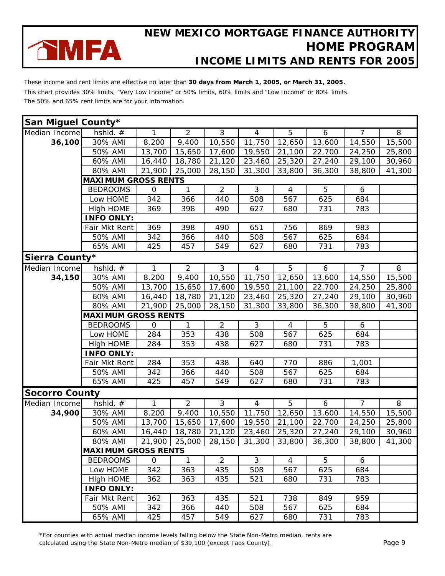

These income and rent limits are effective no later than **30 days from March 1, 2005, or March 31, 2005.** This chart provides 30% limits, "Very Low Income" or 50% limits, 60% limits and "Low Income" or 80% limits. The 50% and 65% rent limits are for your information.

| San Miguel County*    |                            |                |                |                |                |                |        |                |          |
|-----------------------|----------------------------|----------------|----------------|----------------|----------------|----------------|--------|----------------|----------|
| Median Income         | hshld. #                   | 1.             | $\overline{2}$ | 3              | $\overline{4}$ | 5              | 6      | $\overline{7}$ | 8        |
| 36,100                | 30% AMI                    | 8,200          | 9,400          | 10,550         | 11,750         | 12,650         | 13,600 | 14,550         | 15,500   |
|                       | 50% AMI                    | 13,700         | 15,650         | 17,600         | 19,550         | 21,100         | 22,700 | 24,250         | 25,800   |
|                       | 60% AMI                    | 16,440         | 18,780         | 21,120         | 23,460         | 25,320         | 27,240 | 29,100         | 30,960   |
|                       | 80% AMI                    | 21,900         | 25,000         | 28,150         | 31,300         | 33,800         | 36,300 | 38,800         | 41,300   |
|                       | <b>MAXIMUM GROSS RENTS</b> |                |                |                |                |                |        |                |          |
|                       | <b>BEDROOMS</b>            | $\mathbf 0$    | 1              | $\overline{2}$ | 3              | $\overline{4}$ | 5      | 6              |          |
|                       | Low HOME                   | 342            | 366            | 440            | 508            | 567            | 625    | 684            |          |
|                       | High HOME                  | 369            | 398            | 490            | 627            | 680            | 731    | 783            |          |
|                       | <b>INFO ONLY:</b>          |                |                |                |                |                |        |                |          |
|                       | Fair Mkt Rent              | 369            | 398            | 490            | 651            | 756            | 869    | 983            |          |
|                       | 50% AMI                    | 342            | 366            | 440            | 508            | 567            | 625    | 684            |          |
|                       | 65% AMI                    | 425            | 457            | 549            | 627            | 680            | 731    | 783            |          |
| Sierra County*        |                            |                |                |                |                |                |        |                |          |
| Median Income         | hshld. $#$                 | $\overline{1}$ | $\overline{2}$ | $\overline{3}$ | $\overline{4}$ | $\overline{5}$ | 6      | $\overline{7}$ | $\infty$ |
| 34,150                | 30% AMI                    | 8,200          | 9,400          | 10,550         | 11,750         | 12,650         | 13,600 | 14,550         | 15,500   |
|                       | 50% AMI                    | 13,700         | 15,650         | 17,600         | 19,550         | 21,100         | 22,700 | 24,250         | 25,800   |
|                       | 60% AMI                    | 16,440         | 18,780         | 21,120         | 23,460         | 25,320         | 27,240 | 29,100         | 30,960   |
|                       | 80% AMI                    | 21,900         | 25,000         | 28,150         | 31,300         | 33,800         | 36,300 | 38,800         | 41,300   |
|                       | <b>MAXIMUM GROSS RENTS</b> |                |                |                |                |                |        |                |          |
|                       | <b>BEDROOMS</b>            | $\mathbf 0$    | 1              | $\overline{2}$ | 3              | $\overline{4}$ | 5      | 6              |          |
|                       | Low HOME                   | 284            | 353            | 438            | 508            | 567            | 625    | 684            |          |
|                       | High HOME                  | 284            | 353            | 438            | 627            | 680            | 731    | 783            |          |
|                       | <b>INFO ONLY:</b>          |                |                |                |                |                |        |                |          |
|                       | Fair Mkt Rent              | 284            | 353            | 438            | 640            | 770            | 886    | 1,001          |          |
|                       | 50% AMI                    | 342            | 366            | 440            | 508            | 567            | 625    | 684            |          |
|                       | 65% AMI                    | 425            | 457            | 549            | 627            | 680            | 731    | 783            |          |
| <b>Socorro County</b> |                            |                |                |                |                |                |        |                |          |
| Median Income         | hshld. #                   | $\mathbf{1}$   | $\overline{2}$ | $\overline{3}$ | $\overline{4}$ | $\overline{5}$ | 6      | $\overline{7}$ | $\infty$ |
| 34,900                | 30% AMI                    | 8,200          | 9,400          | 10,550         | 11,750         | 12,650         | 13,600 | 14,550         | 15,500   |
|                       | 50% AMI                    | 13,700         | 15,650         | 17,600         | 19,550         | 21,100         | 22,700 | 24,250         | 25,800   |
|                       | 60% AMI                    | 16,440         | 18,780         | 21,120         | 23,460         | 25,320         | 27,240 | 29,100         | 30,960   |
|                       | 80% AMI 21,900 25,000      |                |                | 28,150         |                | 31,300 33,800  | 36,300 | 38,800         | 41,300   |
|                       | <b>MAXIMUM GROSS RENTS</b> |                |                |                |                |                |        |                |          |
|                       | <b>BEDROOMS</b>            | $\mathbf{O}$   | $\mathbf{1}$   | $\overline{2}$ | 3              | 4              | 5      | 6              |          |
|                       | Low HOME                   | 342            | 363            | 435            | 508            | 567            | 625    | 684            |          |
|                       | High HOME                  | 362            | 363            | 435            | 521            | 680            | 731    | 783            |          |
|                       | <b>INFO ONLY:</b>          |                |                |                |                |                |        |                |          |
|                       | Fair Mkt Rent              | 362            | 363            | 435            | 521            | 738            | 849    | 959            |          |
|                       | 50% AMI                    | 342            | 366            | 440            | 508            | 567            | 625    | 684            |          |
|                       | 65% AMI                    | 425            | 457            | 549            | 627            | 680            | 731    | 783            |          |